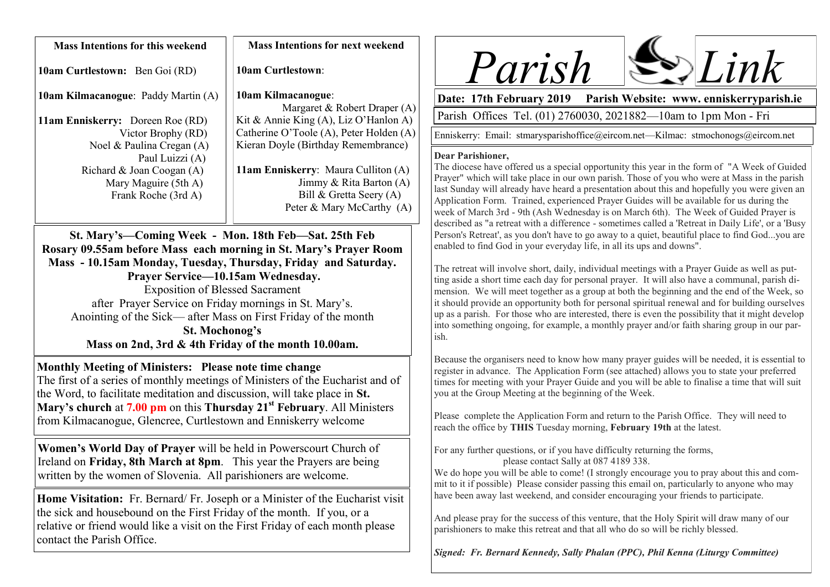| <b>Mass Intentions for this weekend</b>    | <b>Mass Intentions for next weekend</b>              |
|--------------------------------------------|------------------------------------------------------|
| <b>10am Curtlestown:</b> Ben Goi (RD)      | <b>10am Curtlestown:</b>                             |
| <b>10am Kilmacanogue: Paddy Martin (A)</b> | 10am Kilmacanogue:<br>Margaret & Robert Draper $(A)$ |
| <b>11am Enniskerry:</b> Doreen Roe (RD)    | Kit & Annie King (A), Liz O'Hanlon A)                |
| Victor Brophy (RD)                         | Catherine O'Toole (A), Peter Holden (A)              |
| Noel & Paulina Cregan (A)                  | Kieran Doyle (Birthday Remembrance)                  |
| Paul Luizzi (A)                            |                                                      |
| Richard & Joan Coogan (A)                  | 11am Enniskerry: Maura Culliton (A)                  |
| Mary Maguire (5th A)                       | Jimmy & Rita Barton $(A)$                            |
| Frank Roche (3rd A)                        | Bill & Gretta Seery $(A)$                            |
|                                            | Peter & Mary McCarthy $(A)$                          |

**St. Mary's—Coming Week - Mon. 18th Feb—Sat. 25th Feb Rosary 09.55am before Mass each morning in St. Mary's Prayer Room Mass - 10.15am Monday, Tuesday, Thursday, Friday and Saturday. Prayer Service—10.15am Wednesday.**  Exposition of Blessed Sacrament after Prayer Service on Friday mornings in St. Mary's. Anointing of the Sick— after Mass on First Friday of the month **St. Mochonog's Mass on 2nd, 3rd & 4th Friday of the month 10.00am.**

**Monthly Meeting of Ministers: Please note time change** The first of a series of monthly meetings of Ministers of the Eucharist and of the Word, to facilitate meditation and discussion, will take place in **St. Mary's church** at **7.00 pm** on this **Thursday 21st February**. All Ministers from Kilmacanogue, Glencree, Curtlestown and Enniskerry welcome

**Women's World Day of Prayer** will be held in Powerscourt Church of Ireland on **Friday, 8th March at 8pm**. This year the Prayers are being written by the women of Slovenia. All parishioners are welcome.

**Home Visitation:** Fr. Bernard/ Fr. Joseph or a Minister of the Eucharist visit the sick and housebound on the First Friday of the month. If you, or a relative or friend would like a visit on the First Friday of each month please contact the Parish Office.



**Date: 17th February 2019 Parish Website: www. enniskerryparish.ie**

Parish Offices Tel. (01) 2760030, 2021882—10am to 1pm Mon - Fri

Enniskerry: Email: stmarysparishoffice@eircom.net—Kilmac: stmochonogs@eircom.net

## **Dear Parishioner,**

The diocese have offered us a special opportunity this year in the form of "A Week of Guided Prayer" which will take place in our own parish. Those of you who were at Mass in the parish last Sunday will already have heard a presentation about this and hopefully you were given an Application Form. Trained, experienced Prayer Guides will be available for us during the week of March 3rd - 9th (Ash Wednesday is on March 6th). The Week of Guided Prayer is described as "a retreat with a difference - sometimes called a 'Retreat in Daily Life', or a 'Busy Person's Retreat', as you don't have to go away to a quiet, beautiful place to find God...you are enabled to find God in your everyday life, in all its ups and downs".

The retreat will involve short, daily, individual meetings with a Prayer Guide as well as putting aside a short time each day for personal prayer. It will also have a communal, parish dimension. We will meet together as a group at both the beginning and the end of the Week, so it should provide an opportunity both for personal spiritual renewal and for building ourselves up as a parish. For those who are interested, there is even the possibility that it might develop into something ongoing, for example, a monthly prayer and/or faith sharing group in our parish.

Because the organisers need to know how many prayer guides will be needed, it is essential to register in advance. The Application Form (see attached) allows you to state your preferred times for meeting with your Prayer Guide and you will be able to finalise a time that will suit you at the Group Meeting at the beginning of the Week.

Please complete the Application Form and return to the Parish Office. They will need to reach the office by **THIS** Tuesday morning, **February 19th** at the latest.

For any further questions, or if you have difficulty returning the forms, please contact Sally at 087 4189 338.

We do hope you will be able to come! (I strongly encourage you to pray about this and commit to it if possible) Please consider passing this email on, particularly to anyone who may have been away last weekend, and consider encouraging your friends to participate.

And please pray for the success of this venture, that the Holy Spirit will draw many of our parishioners to make this retreat and that all who do so will be richly blessed.

*Signed: Fr. Bernard Kennedy, Sally Phalan (PPC), Phil Kenna (Liturgy Committee)*